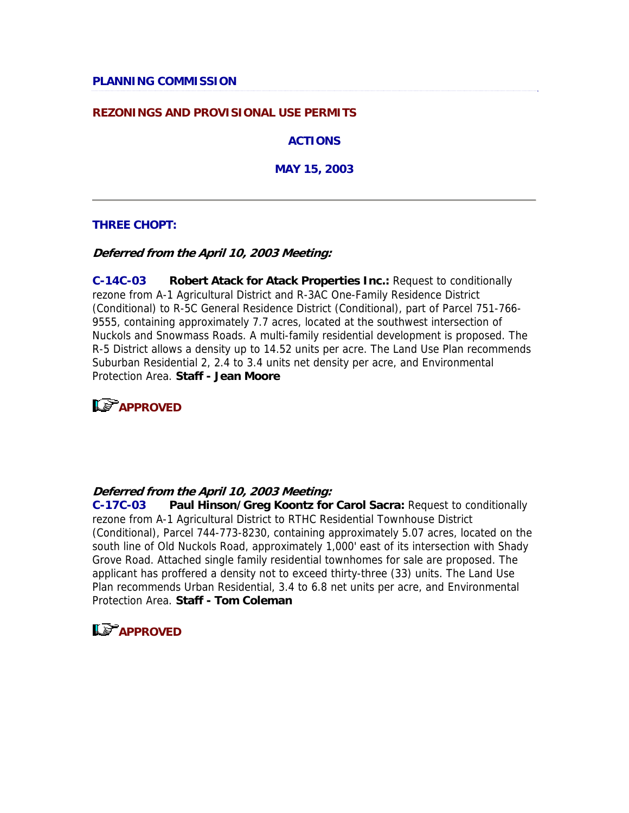#### **REZONINGS AND PROVISIONAL USE PERMITS**

**ACTIONS**

**MAY 15, 2003**

#### **THREE CHOPT:**

**Deferred from the April 10, 2003 Meeting:**

**C-14C-03 Robert Atack for Atack Properties Inc.:** Request to conditionally rezone from A-1 Agricultural District and R-3AC One-Family Residence District (Conditional) to R-5C General Residence District (Conditional), part of Parcel 751-766- 9555, containing approximately 7.7 acres, located at the southwest intersection of Nuckols and Snowmass Roads. A multi-family residential development is proposed. The R-5 District allows a density up to 14.52 units per acre. The Land Use Plan recommends Suburban Residential 2, 2.4 to 3.4 units net density per acre, and Environmental Protection Area. **Staff - Jean Moore**



#### **Deferred from the April 10, 2003 Meeting:**

**C-17C-03 Paul Hinson/Greg Koontz for Carol Sacra:** Request to conditionally rezone from A-1 Agricultural District to RTHC Residential Townhouse District (Conditional), Parcel 744-773-8230, containing approximately 5.07 acres, located on the south line of Old Nuckols Road, approximately 1,000' east of its intersection with Shady Grove Road. Attached single family residential townhomes for sale are proposed. The applicant has proffered a density not to exceed thirty-three (33) units. The Land Use Plan recommends Urban Residential, 3.4 to 6.8 net units per acre, and Environmental Protection Area. **Staff - Tom Coleman**

### **LS** APPROVED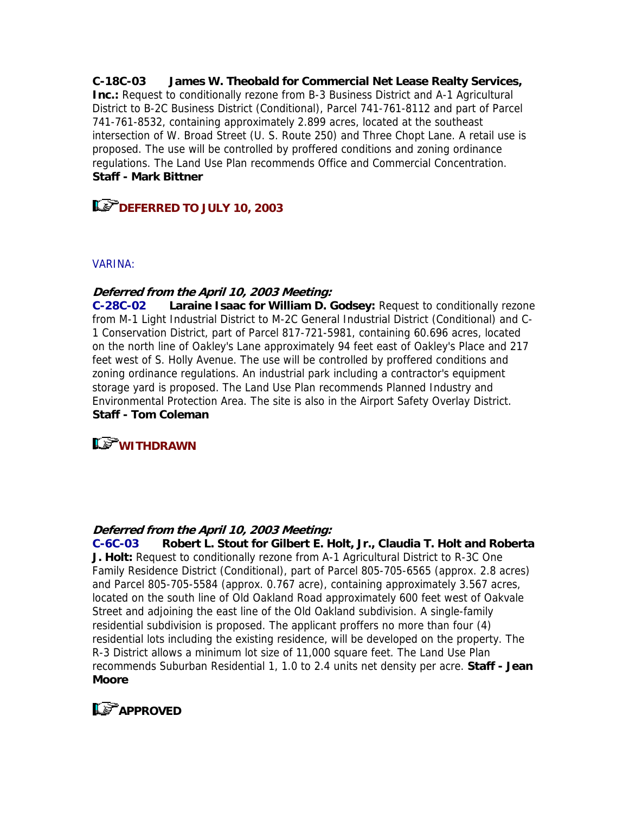**C-18C-03 James W. Theobald for Commercial Net Lease Realty Services, Inc.:** Request to conditionally rezone from B-3 Business District and A-1 Agricultural District to B-2C Business District (Conditional), Parcel 741-761-8112 and part of Parcel 741-761-8532, containing approximately 2.899 acres, located at the southeast intersection of W. Broad Street (U. S. Route 250) and Three Chopt Lane. A retail use is proposed. The use will be controlled by proffered conditions and zoning ordinance regulations. The Land Use Plan recommends Office and Commercial Concentration. **Staff - Mark Bittner**

# **DEFERRED TO JULY 10, 2003**

#### VARINA:

### **Deferred from the April 10, 2003 Meeting:**

**C-28C-02 Laraine Isaac for William D. Godsey:** Request to conditionally rezone from M-1 Light Industrial District to M-2C General Industrial District (Conditional) and C-1 Conservation District, part of Parcel 817-721-5981, containing 60.696 acres, located on the north line of Oakley's Lane approximately 94 feet east of Oakley's Place and 217 feet west of S. Holly Avenue. The use will be controlled by proffered conditions and zoning ordinance regulations. An industrial park including a contractor's equipment storage yard is proposed. The Land Use Plan recommends Planned Industry and Environmental Protection Area. The site is also in the Airport Safety Overlay District. **Staff - Tom Coleman**

### **WITHDRAWN**

### **Deferred from the April 10, 2003 Meeting:**

**C-6C-03 Robert L. Stout for Gilbert E. Holt, Jr., Claudia T. Holt and Roberta J. Holt:** Request to conditionally rezone from A-1 Agricultural District to R-3C One Family Residence District (Conditional), part of Parcel 805-705-6565 (approx. 2.8 acres) and Parcel 805-705-5584 (approx. 0.767 acre), containing approximately 3.567 acres, located on the south line of Old Oakland Road approximately 600 feet west of Oakvale Street and adjoining the east line of the Old Oakland subdivision. A single-family residential subdivision is proposed. The applicant proffers no more than four (4) residential lots including the existing residence, will be developed on the property. The R-3 District allows a minimum lot size of 11,000 square feet. The Land Use Plan recommends Suburban Residential 1, 1.0 to 2.4 units net density per acre. **Staff - Jean Moore**

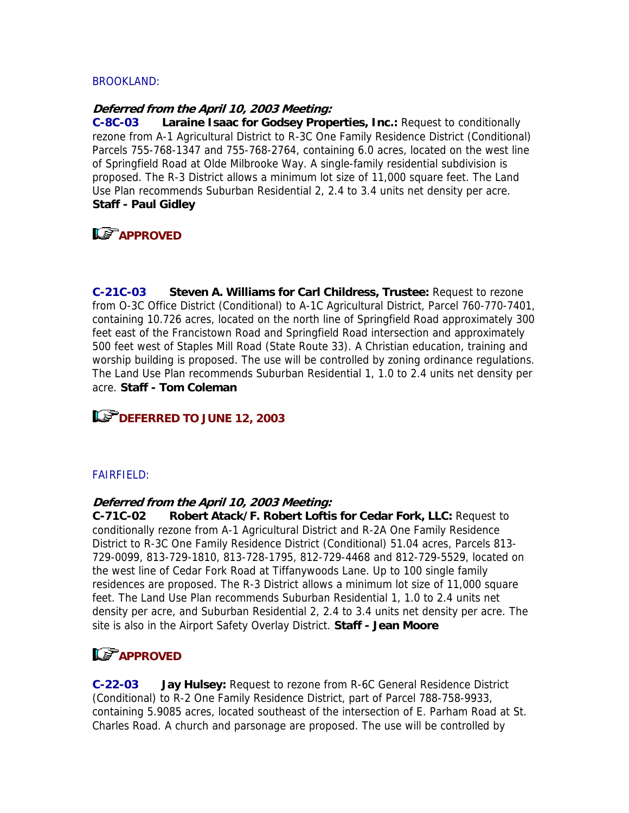### BROOKLAND:

#### **Deferred from the April 10, 2003 Meeting:**

**C-8C-03 Laraine Isaac for Godsey Properties, Inc.:** Request to conditionally rezone from A-1 Agricultural District to R-3C One Family Residence District (Conditional) Parcels 755-768-1347 and 755-768-2764, containing 6.0 acres, located on the west line of Springfield Road at Olde Milbrooke Way. A single-family residential subdivision is proposed. The R-3 District allows a minimum lot size of 11,000 square feet. The Land Use Plan recommends Suburban Residential 2, 2.4 to 3.4 units net density per acre. **Staff - Paul Gidley**

# **LS** APPROVED

**C-21C-03 Steven A. Williams for Carl Childress, Trustee:** Request to rezone from O-3C Office District (Conditional) to A-1C Agricultural District, Parcel 760-770-7401, containing 10.726 acres, located on the north line of Springfield Road approximately 300 feet east of the Francistown Road and Springfield Road intersection and approximately 500 feet west of Staples Mill Road (State Route 33). A Christian education, training and worship building is proposed. The use will be controlled by zoning ordinance regulations. The Land Use Plan recommends Suburban Residential 1, 1.0 to 2.4 units net density per acre. **Staff - Tom Coleman**

# **DEFERRED TO JUNE 12, 2003**

### FAIRFIELD:

### **Deferred from the April 10, 2003 Meeting:**

**C-71C-02 Robert Atack/F. Robert Loftis for Cedar Fork, LLC:** Request to conditionally rezone from A-1 Agricultural District and R-2A One Family Residence District to R-3C One Family Residence District (Conditional) 51.04 acres, Parcels 813- 729-0099, 813-729-1810, 813-728-1795, 812-729-4468 and 812-729-5529, located on the west line of Cedar Fork Road at Tiffanywoods Lane. Up to 100 single family residences are proposed. The R-3 District allows a minimum lot size of 11,000 square feet. The Land Use Plan recommends Suburban Residential 1, 1.0 to 2.4 units net density per acre, and Suburban Residential 2, 2.4 to 3.4 units net density per acre. The site is also in the Airport Safety Overlay District. **Staff - Jean Moore**

# **APPROVED**

**C-22-03 Jay Hulsey:** Request to rezone from R-6C General Residence District (Conditional) to R-2 One Family Residence District, part of Parcel 788-758-9933, containing 5.9085 acres, located southeast of the intersection of E. Parham Road at St. Charles Road. A church and parsonage are proposed. The use will be controlled by